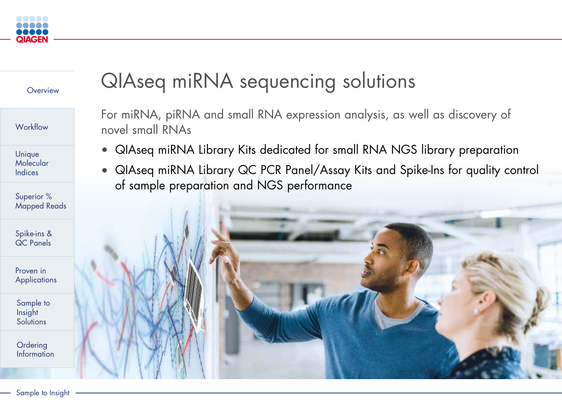# QIAseq miRNA sequencing solutions

For miRNA, piRNA and small RNA expression analysis, as well as discovery of novel small RNAs

Proven in **[Applications](#page-5-0)** 

<span id="page-0-0"></span>



[Sample to](#page-6-0)  Insight **Solutions** 





**Ordering** [Information](#page-7-0)

Unique **Molecular** Indices

Superior % [Mapped Reads](#page-3-0)

[Spike-ins &](#page-4-0)  QC Panels



- 
- of sample preparation and NGS performance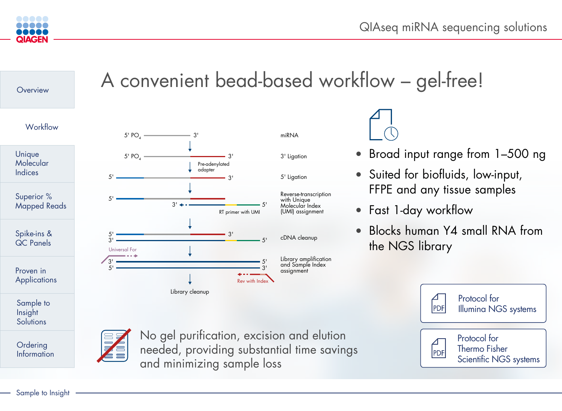QIAseq miRNA sequencing solutions

• Broad input range from 1–500 ng

Sample to Insight

- Suited for biofluids, low-input, FFPE and any tissue samples
- Fast 1-day workflow
- Blocks human Y4 small RNA from the NGS library

<span id="page-1-0"></span>









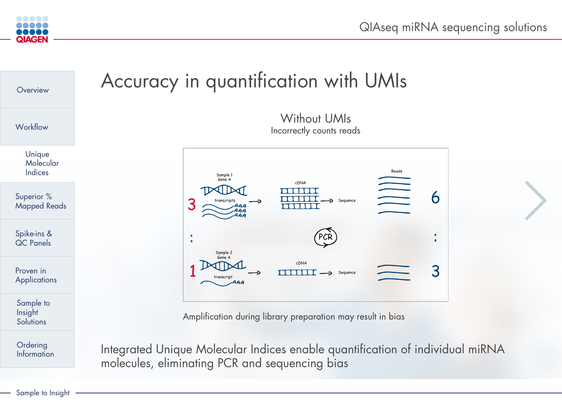



<span id="page-2-0"></span>

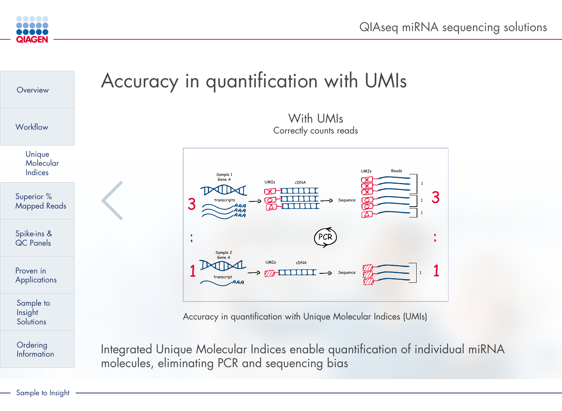

<span id="page-3-0"></span>



Integrated Unique Molecular Indices enable quantification of individual miRNA molecules, eliminating PCR and sequencing bias



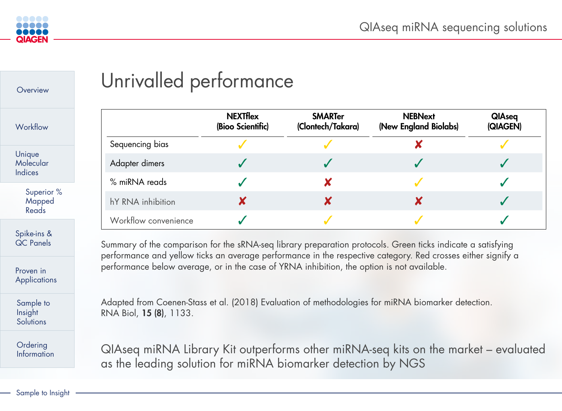

<span id="page-4-0"></span>



# Unrivalled performance





|                          | <b>NEXTflex</b><br>(Bioo Scientific) | <b>SMARTer</b><br>(Clontech/Takara) | <b>NEBNext</b><br>(New England Biolabs) | <b>QIAs</b><br><b>(QIAG</b> |
|--------------------------|--------------------------------------|-------------------------------------|-----------------------------------------|-----------------------------|
| Sequencing bias          |                                      |                                     |                                         |                             |
| <b>Adapter dimers</b>    |                                      |                                     |                                         |                             |
| % miRNA reads            |                                      |                                     |                                         |                             |
| <b>hY RNA inhibition</b> |                                      |                                     |                                         |                             |
| Workflow convenience     |                                      |                                     |                                         |                             |

QIAseq miRNA Library Kit outperforms other miRNA-seq kits on the market – evaluated as the leading solution for miRNA biomarker detection by NGS

Summary of the comparison for the sRNA-seq library preparation protocols. Green ticks indicate a satisfying performance and yellow ticks an average performance in the respective category. Red crosses either signify a performance below average, or in the case of YRNA inhibition, the option is not available.

Adapted from Coenen-Stass et al. (2018) Evaluation of methodologies for miRNA biomarker detection. RNA Biol, 15 (8), 1133.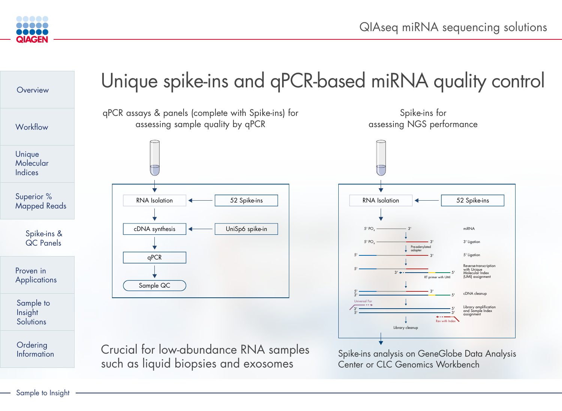<span id="page-5-0"></span>



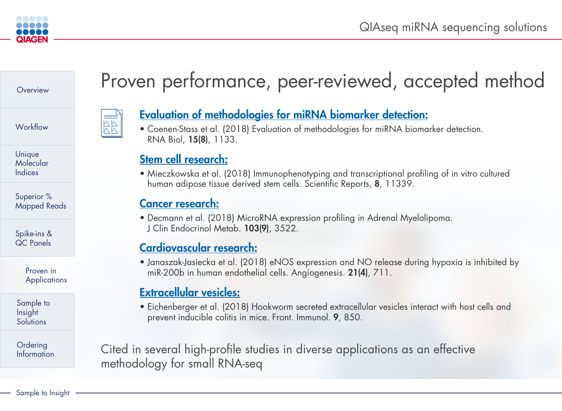<span id="page-6-0"></span>

## **[Overview](#page-0-0)**

**[Workflow](#page-1-0)** 

Sample to Insight

[Sample to](#page-7-0)  Insight **Solutions** 

Superior % [Mapped Reads](#page-3-0)

**Ordering** [Information](#page-8-0)

Proven in **Applications** 

[Spike-ins &](#page-5-0)  QC Panels

Unique **Molecular** Indices

# Proven performance, peer-reviewed, accepted method



## [Evaluation of methodologies for miRNA biomarker detection:](https://www.ncbi.nlm.nih.gov/pmc/articles/PMC6161688/)

• Coenen-Stass et al. (2018) Evaluation of methodologies for miRNA biomarker detection.

RNA Biol, 15(8), 1133.

## [Stem cell research:](https://www.nature.com/articles/s41598-018-29477-5)

• Mieczkowska et al. (2018) Immunophenotyping and transcriptional profiling of in vitro cultured human adipose tissue derived stem cells. Scientific Reports, 8, 11339.

## [Cancer research:](https://academic.oup.com/jcem/article/103/9/3522/5041928)

• Decmann et al. (2018) MicroRNA expression profiling in Adrenal Myelolipoma.

J Clin Endocrinol Metab. 103(9), 3522.

## [Cardiovascular research:](https://www.ncbi.nlm.nih.gov/pmc/articles/PMC6208887/)

• Janaszak-Jasiecka et al. (2018) eNOS expression and NO release during hypoxia is inhibited by miR-200b in human endothelial cells. Angiogenesis. 21(4), 711.

## [Extracellular vesicles:](https://www.ncbi.nlm.nih.gov/pmc/articles/PMC5936971/)

• Eichenberger et al. (2018) Hookworm secreted extracellular vesicles interact with host cells and prevent inducible colitis in mice. Front. Immunol. 9, 850.





Cited in several high-profile studies in diverse applications as an effective methodology for small RNA-seq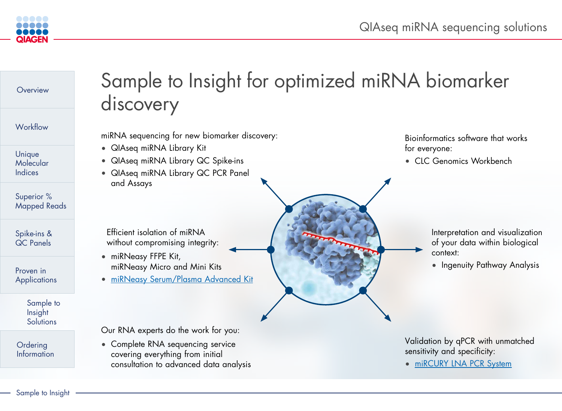<span id="page-7-0"></span>



## Sample to Insight for optimized miRNA biomarker

# discovery

miRNA sequencing for new biomarker discovery:

• Complete RNA sequencing service covering everything from initial consultation to advanced data analysis

- QIAseq miRNA Library Kit
- QIAseq miRNA Library QC Spike-ins
- QIAseq miRNA Library QC PCR Panel and Assays

- miRNeasy FFPE Kit, miRNeasy Micro and Mini Kits
- [miRNeasy Serum/Plasma Advanced Kit](https://www.qiagen.com/us/resources/download.aspx?id=0e395e28-f357-45cf-86a4-7b2d62d370b0&lang=en)

Our RNA experts do the work for you:







 Efficient isolation of miRNA without compromising integrity: